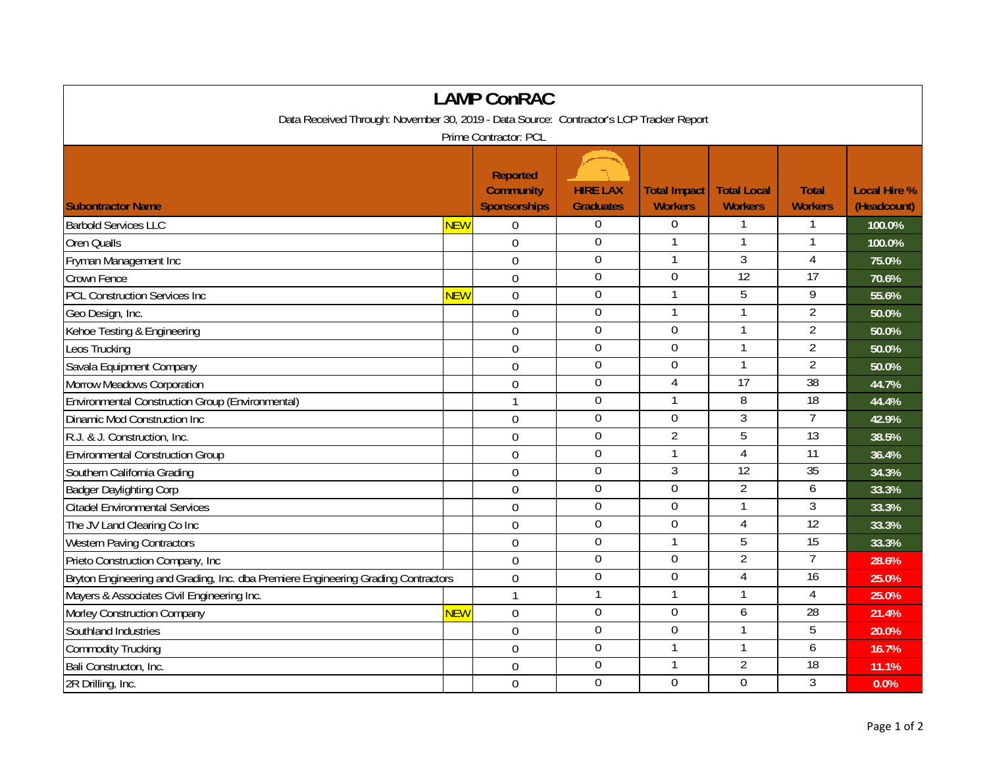| <b>LAMP ConRAC</b>                                                                      |            |                                                            |                                     |                                       |                                      |                                |                                    |  |  |  |  |  |
|-----------------------------------------------------------------------------------------|------------|------------------------------------------------------------|-------------------------------------|---------------------------------------|--------------------------------------|--------------------------------|------------------------------------|--|--|--|--|--|
| Data Received Through: November 30, 2019 - Data Source: Contractor's LCP Tracker Report |            |                                                            |                                     |                                       |                                      |                                |                                    |  |  |  |  |  |
| Prime Contractor: PCL                                                                   |            |                                                            |                                     |                                       |                                      |                                |                                    |  |  |  |  |  |
| <b>Subontractor Name</b>                                                                |            | <b>Reported</b><br><b>Community</b><br><b>Sponsorships</b> | <b>HIRE LAX</b><br><b>Graduates</b> | <b>Total Impact</b><br><b>Workers</b> | <b>Total Local</b><br><b>Workers</b> | <b>Total</b><br><b>Workers</b> | <b>Local Hire %</b><br>(Headcount) |  |  |  |  |  |
| <b>Barbold Services LLC</b>                                                             | <b>NEW</b> | 0                                                          | $\boldsymbol{0}$                    | $\overline{0}$                        |                                      |                                | 100.0%                             |  |  |  |  |  |
| <b>Oren Qualls</b>                                                                      |            | $\mathbf 0$                                                | $\mathbf 0$                         | 1                                     | 1                                    | 1                              | 100.0%                             |  |  |  |  |  |
| Fryman Management Inc                                                                   |            | $\overline{0}$                                             | $\mathbf 0$                         |                                       | $\overline{3}$                       | $\overline{4}$                 | 75.0%                              |  |  |  |  |  |
| <b>Crown Fence</b>                                                                      |            | $\overline{0}$                                             | $\mathbf 0$                         | 0                                     | $\overline{12}$                      | $\overline{17}$                | 70.6%                              |  |  |  |  |  |
| <b>PCL Construction Services Inc</b>                                                    | <b>NEW</b> | $\mathbf 0$                                                | $\overline{0}$                      | 1                                     | 5                                    | 9                              | 55.6%                              |  |  |  |  |  |
| Geo Design, Inc.                                                                        |            | $\mathbf 0$                                                | $\boldsymbol{0}$                    | $\mathbf{1}$                          | 1                                    | $\overline{2}$                 | 50.0%                              |  |  |  |  |  |
| Kehoe Testing & Engineering                                                             |            | $\mathbf 0$                                                | $\boldsymbol{0}$                    | $\mathbf 0$                           |                                      | $\overline{2}$                 | 50.0%                              |  |  |  |  |  |
| Leos Trucking                                                                           |            | $\overline{0}$                                             | $\mathbf 0$                         | $\mathbf 0$                           | $\mathbf{1}$                         | $\overline{2}$                 | 50.0%                              |  |  |  |  |  |
| Savala Equipment Company                                                                |            | $\mathbf 0$                                                | $\boldsymbol{0}$                    | $\mathbf 0$                           | $\mathbf{1}$                         | $\overline{2}$                 | 50.0%                              |  |  |  |  |  |
| Morrow Meadows Corporation                                                              |            | $\overline{0}$                                             | $\mathbf 0$                         | $\overline{4}$                        | $\overline{17}$                      | $\overline{38}$                | 44.7%                              |  |  |  |  |  |
| Environmental Construction Group (Environmental)                                        |            | $\mathbf{1}$                                               | $\mathbf 0$                         |                                       | 8                                    | 18                             | 44.4%                              |  |  |  |  |  |
| <b>Dinamic Mod Construction Inc</b>                                                     |            | $\overline{0}$                                             | $\mathbf 0$                         | $\overline{0}$                        | $\overline{3}$                       | $\overline{7}$                 | 42.9%                              |  |  |  |  |  |
| R.J. & J. Construction, Inc.                                                            |            | $\mathbf 0$                                                | $\mathbf 0$                         | $\overline{2}$                        | $\overline{5}$                       | 13                             | 38.5%                              |  |  |  |  |  |
| <b>Environmental Construction Group</b>                                                 |            | $\mathbf 0$                                                | $\boldsymbol{0}$                    | $\mathbf{1}$                          | $\overline{4}$                       | 11                             | 36.4%                              |  |  |  |  |  |
| Southern California Grading                                                             |            | $\overline{0}$                                             | $\mathbf 0$                         | 3                                     | 12                                   | 35                             | 34.3%                              |  |  |  |  |  |
| <b>Badger Daylighting Corp</b>                                                          |            | $\overline{0}$                                             | $\mathbf 0$                         | $\overline{0}$                        | $\overline{2}$                       | 6                              | 33.3%                              |  |  |  |  |  |
| <b>Citadel Environmental Services</b>                                                   |            | $\mathbf 0$                                                | $\Omega$                            | 0                                     | $\mathbf{1}$                         | 3                              | 33.3%                              |  |  |  |  |  |
| The JV Land Clearing Co Inc                                                             |            | $\mathbf 0$                                                | $\boldsymbol{0}$                    | 0                                     | 4                                    | $\overline{12}$                | 33.3%                              |  |  |  |  |  |
| <b>Western Paving Contractors</b>                                                       |            | $\mathbf 0$                                                | $\overline{0}$                      |                                       | $\overline{5}$                       | 15                             | 33.3%                              |  |  |  |  |  |
| Prieto Construction Company, Inc.                                                       |            | $\overline{0}$                                             | $\mathbf 0$                         | $\overline{0}$                        | $\overline{2}$                       | $\overline{7}$                 | 28.6%                              |  |  |  |  |  |
| Bryton Engineering and Grading, Inc. dba Premiere Engineering Grading Contractors       |            | $\mathbf 0$                                                | $\overline{0}$                      | $\boldsymbol{0}$                      | 4                                    | $\overline{16}$                | 25.0%                              |  |  |  |  |  |
| Mayers & Associates Civil Engineering Inc.                                              |            | $\mathbf{1}$                                               | $\mathbf{1}$                        | $\mathbf{1}$                          | $\mathbf{1}$                         | $\overline{4}$                 | 25.0%                              |  |  |  |  |  |
| Morley Construction Company                                                             | <b>NEW</b> | $\overline{0}$                                             | $\mathbf 0$                         | 0                                     | 6                                    | 28                             | 21.4%                              |  |  |  |  |  |
| Southland Industries                                                                    |            | $\overline{0}$                                             | $\mathbf 0$                         | 0                                     |                                      | 5                              | 20.0%                              |  |  |  |  |  |
| <b>Commodity Trucking</b>                                                               |            | $\mathbf 0$                                                | $\mathbf 0$                         | $\mathbf{1}$                          | $\mathbf{1}$                         | 6                              | 16.7%                              |  |  |  |  |  |
| Bali Constructon, Inc.                                                                  |            | $\overline{0}$                                             | $\mathbf 0$                         | $\mathbf{1}$                          | $\overline{2}$                       | $\overline{18}$                | 11.1%                              |  |  |  |  |  |
| 2R Drilling, Inc.                                                                       |            | $\mathbf 0$                                                | $\mathbf 0$                         | 0                                     | $\overline{0}$                       | 3                              | 0.0%                               |  |  |  |  |  |